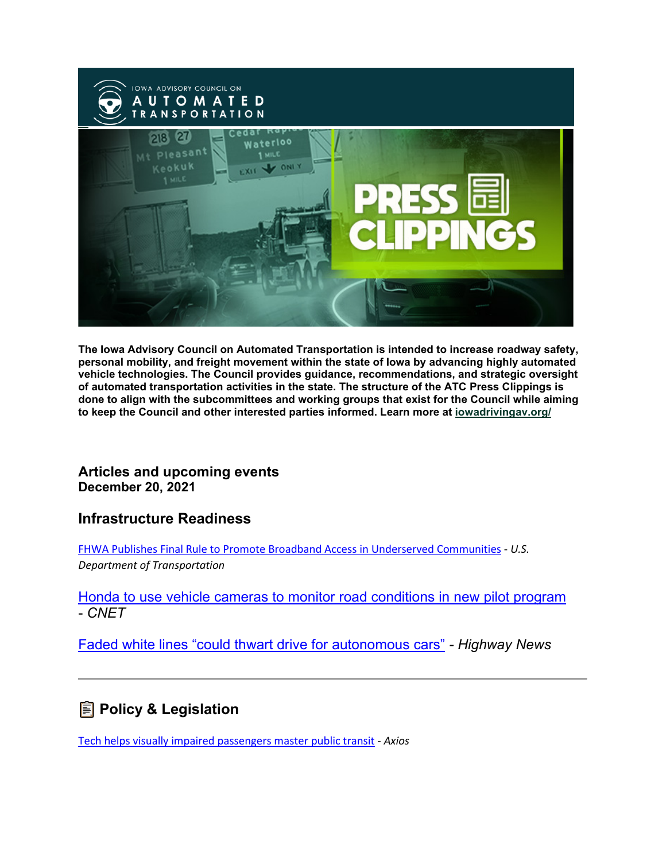

**The Iowa Advisory Council on Automated Transportation is intended to increase roadway safety, personal mobility, and freight movement within the state of Iowa by advancing highly automated vehicle technologies. The Council provides guidance, recommendations, and strategic oversight of automated transportation activities in the state. The structure of the ATC Press Clippings is done to align with the subcommittees and working groups that exist for the Council while aiming to keep the Council and other interested parties informed. Learn more at [iowadrivingav.org/](https://iowadrivingav.org/?utm_medium=email&utm_source=govdelivery)**

#### **Articles and upcoming events December 20, 2021**

#### **Infrastructure Readiness**

[FHWA Publishes Final Rule to Promote Broadband Access in Underserved Communities](https://gcc02.safelinks.protection.outlook.com/?url=https%3A%2F%2Flnks.gd%2Fl%2FeyJhbGciOiJIUzI1NiJ9.eyJidWxsZXRpbl9saW5rX2lkIjoxMDIsInVyaSI6ImJwMjpjbGljayIsImJ1bGxldGluX2lkIjoiMjAyMTEyMjAuNTA1NzE0NTEiLCJ1cmwiOiJodHRwczovL2hpZ2h3YXlzLmRvdC5nb3YvbmV3c3Jvb20vZmh3YS1wdWJsaXNoZXMtZmluYWwtcnVsZS1wcm9tb3RlLWJyb2FkYmFuZC1hY2Nlc3MtdW5kZXJzZXJ2ZWQtY29tbXVuaXRpZXM_dXRtX21lZGl1bT1lbWFpbCZ1dG1fc291cmNlPWdvdmRlbGl2ZXJ5In0.tb0sDLabRVf-RJimmz1dmVIF7ihOPG_OBW_8ybDqeks%2Fs%2F663195034%2Fbr%2F123410899175-l&data=04%7C01%7Crick.murray%40iowadot.us%7Cc1f21b536d7c41dd1beb08d9c3b8d197%7Ca1e65fcc32fa4fdd86920cc2eb06676e%7C1%7C0%7C637756020825650927%7CUnknown%7CTWFpbGZsb3d8eyJWIjoiMC4wLjAwMDAiLCJQIjoiV2luMzIiLCJBTiI6Ik1haWwiLCJXVCI6Mn0%3D%7C3000&sdata=1gWISg743VsEHpLUecZnFo5FdKfJ0ZhSTjdTmHY7W5I%3D&reserved=0) - *U.S. Department of Transportation*

[Honda to use vehicle cameras to monitor road conditions in new pilot program](https://gcc02.safelinks.protection.outlook.com/?url=https%3A%2F%2Flnks.gd%2Fl%2FeyJhbGciOiJIUzI1NiJ9.eyJidWxsZXRpbl9saW5rX2lkIjoxMDMsInVyaSI6ImJwMjpjbGljayIsImJ1bGxldGluX2lkIjoiMjAyMTEyMjAuNTA1NzE0NTEiLCJ1cmwiOiJodHRwczovL3d3dy5jbmV0LmNvbS9yb2Fkc2hvdy9uZXdzL2hvbmRhLXJvYWQtY29uZGl0aW9uLW1vbml0b3JpbmctcHJvZ3JhbS1vaGlvLz91dG1fbWVkaXVtPWVtYWlsJnV0bV9zb3VyY2U9Z292ZGVsaXZlcnkifQ.Kjaa25qUNI6CVx1rZyfzJ2fzCiXuV-z5TXrl1YTnwZg%2Fs%2F663195034%2Fbr%2F123410899175-l&data=04%7C01%7Crick.murray%40iowadot.us%7Cc1f21b536d7c41dd1beb08d9c3b8d197%7Ca1e65fcc32fa4fdd86920cc2eb06676e%7C1%7C0%7C637756020825650927%7CUnknown%7CTWFpbGZsb3d8eyJWIjoiMC4wLjAwMDAiLCJQIjoiV2luMzIiLCJBTiI6Ik1haWwiLCJXVCI6Mn0%3D%7C3000&sdata=RKIjrS77I%2BHuBDZKmJkp8KSoy1UviYtxUDF2J9swLkg%3D&reserved=0) - *CNET*

[Faded white lines "could thwart drive for autonomous cars"](https://gcc02.safelinks.protection.outlook.com/?url=https%3A%2F%2Flnks.gd%2Fl%2FeyJhbGciOiJIUzI1NiJ9.eyJidWxsZXRpbl9saW5rX2lkIjoxMDQsInVyaSI6ImJwMjpjbGljayIsImJ1bGxldGluX2lkIjoiMjAyMTEyMjAuNTA1NzE0NTEiLCJ1cmwiOiJodHRwczovL2hpZ2h3YXlzLW5ld3MuY29tL2ZhZGVkLXdoaXRlLWxpbmVzLWNvdWxkLXRod2FydC1kcml2ZS1mb3ItYXV0b25vbW91cy1jYXJzLz91dG1fbWVkaXVtPWVtYWlsJnV0bV9zb3VyY2U9Z292ZGVsaXZlcnkifQ.VGZyXjcNSMo1LWyx5hGxnOZO42PjpaWX4c4DxS9yOXA%2Fs%2F663195034%2Fbr%2F123410899175-l&data=04%7C01%7Crick.murray%40iowadot.us%7Cc1f21b536d7c41dd1beb08d9c3b8d197%7Ca1e65fcc32fa4fdd86920cc2eb06676e%7C1%7C0%7C637756020825650927%7CUnknown%7CTWFpbGZsb3d8eyJWIjoiMC4wLjAwMDAiLCJQIjoiV2luMzIiLCJBTiI6Ik1haWwiLCJXVCI6Mn0%3D%7C3000&sdata=pSbn%2BRvARIzkkzeqxirN42Q2DqK88coLRm7pKP7Y0kk%3D&reserved=0) *- Highway News*

### $\blacksquare$  Policy & Legislation

[Tech helps visually impaired passengers master public transit](https://gcc02.safelinks.protection.outlook.com/?url=https%3A%2F%2Flnks.gd%2Fl%2FeyJhbGciOiJIUzI1NiJ9.eyJidWxsZXRpbl9saW5rX2lkIjoxMDUsInVyaSI6ImJwMjpjbGljayIsImJ1bGxldGluX2lkIjoiMjAyMTEyMjAuNTA1NzE0NTEiLCJ1cmwiOiJodHRwczovL3d3dy5heGlvcy5jb20vdGVjaC1oZWxwcy12aXN1YWxseS1pbXBhaXJlZC1wYXNzZW5nZXJzLW1hc3Rlci1wdWJsaWMtdHJhbnNpdC0yYmY3NmU0NC01YzRmLTRhMDItODczZC0wZmRmYjRjNmY0ZDEuaHRtbD91dG1fbWVkaXVtPWVtYWlsJnV0bV9zb3VyY2U9Z292ZGVsaXZlcnkifQ.dtWfVYFj1Xgc00M69m-9QLbH3DQ3aQfiYlBHeL2hiq8%2Fs%2F663195034%2Fbr%2F123410899175-l&data=04%7C01%7Crick.murray%40iowadot.us%7Cc1f21b536d7c41dd1beb08d9c3b8d197%7Ca1e65fcc32fa4fdd86920cc2eb06676e%7C1%7C0%7C637756020825650927%7CUnknown%7CTWFpbGZsb3d8eyJWIjoiMC4wLjAwMDAiLCJQIjoiV2luMzIiLCJBTiI6Ik1haWwiLCJXVCI6Mn0%3D%7C3000&sdata=JnKPTcdNAUQvtFWI2ZGT%2FED3aENa83VD1ytceaDEpII%3D&reserved=0) - *Axios*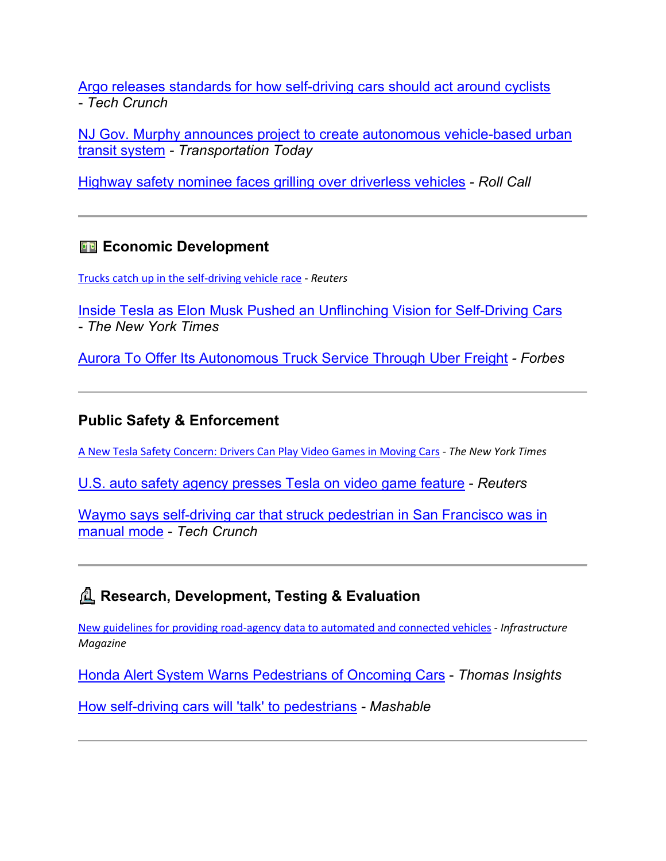[Argo releases standards for how self-driving cars should act around cyclists](https://gcc02.safelinks.protection.outlook.com/?url=https%3A%2F%2Flnks.gd%2Fl%2FeyJhbGciOiJIUzI1NiJ9.eyJidWxsZXRpbl9saW5rX2lkIjoxMDYsInVyaSI6ImJwMjpjbGljayIsImJ1bGxldGluX2lkIjoiMjAyMTEyMjAuNTA1NzE0NTEiLCJ1cmwiOiJodHRwczovL3RlY2hjcnVuY2guY29tLzIwMjEvMTIvMDYvYXJnby1yZWxlYXNlcy1zdGFuZGFyZC1mb3ItaG93LXNlbGYtZHJpdmluZy1jYXJzLXNob3VsZC1hY3QtYXJvdW5kLWN5Y2xpc3RzLz91dG1fbWVkaXVtPWVtYWlsJnV0bV9zb3VyY2U9Z292ZGVsaXZlcnkifQ.nMQFRHu513KrVpTWsSRG2776UNo5NmMTuRkJUeBCDEo%2Fs%2F663195034%2Fbr%2F123410899175-l&data=04%7C01%7Crick.murray%40iowadot.us%7Cc1f21b536d7c41dd1beb08d9c3b8d197%7Ca1e65fcc32fa4fdd86920cc2eb06676e%7C1%7C0%7C637756020825650927%7CUnknown%7CTWFpbGZsb3d8eyJWIjoiMC4wLjAwMDAiLCJQIjoiV2luMzIiLCJBTiI6Ik1haWwiLCJXVCI6Mn0%3D%7C3000&sdata=nuR8PVW%2F%2Be1PASR2uWUrBrdd8VHkiuX85z%2FuWQyvAHY%3D&reserved=0) - *Tech Crunch*

[NJ Gov. Murphy announces project to create autonomous vehicle-based urban](https://gcc02.safelinks.protection.outlook.com/?url=https%3A%2F%2Flnks.gd%2Fl%2FeyJhbGciOiJIUzI1NiJ9.eyJidWxsZXRpbl9saW5rX2lkIjoxMDcsInVyaSI6ImJwMjpjbGljayIsImJ1bGxldGluX2lkIjoiMjAyMTEyMjAuNTA1NzE0NTEiLCJ1cmwiOiJodHRwczovL3RyYW5zcG9ydGF0aW9udG9kYXluZXdzLmNvbS9uZXdzLzI0ODU2LW5qLWdvdi1tdXJwaHktYW5ub3VuY2VzLXByb2plY3QtdG8tY3JlYXRlLWF1dG9ub21vdXMtdmVoaWNsZS1iYXNlZC11cmJhbi10cmFuc2l0LXN5c3RlbS8_dXRtX21lZGl1bT1lbWFpbCZ1dG1fc291cmNlPWdvdmRlbGl2ZXJ5In0.RiQspdOLaUiAr1AsaXRc6TFvCJHbeLW6_8OYYeoUssU%2Fs%2F663195034%2Fbr%2F123410899175-l&data=04%7C01%7Crick.murray%40iowadot.us%7Cc1f21b536d7c41dd1beb08d9c3b8d197%7Ca1e65fcc32fa4fdd86920cc2eb06676e%7C1%7C0%7C637756020825650927%7CUnknown%7CTWFpbGZsb3d8eyJWIjoiMC4wLjAwMDAiLCJQIjoiV2luMzIiLCJBTiI6Ik1haWwiLCJXVCI6Mn0%3D%7C3000&sdata=bes40zXtGWAb%2B5WSdrXkaz2o364Ba%2BtTMSkCl2scxYk%3D&reserved=0)  [transit system](https://gcc02.safelinks.protection.outlook.com/?url=https%3A%2F%2Flnks.gd%2Fl%2FeyJhbGciOiJIUzI1NiJ9.eyJidWxsZXRpbl9saW5rX2lkIjoxMDcsInVyaSI6ImJwMjpjbGljayIsImJ1bGxldGluX2lkIjoiMjAyMTEyMjAuNTA1NzE0NTEiLCJ1cmwiOiJodHRwczovL3RyYW5zcG9ydGF0aW9udG9kYXluZXdzLmNvbS9uZXdzLzI0ODU2LW5qLWdvdi1tdXJwaHktYW5ub3VuY2VzLXByb2plY3QtdG8tY3JlYXRlLWF1dG9ub21vdXMtdmVoaWNsZS1iYXNlZC11cmJhbi10cmFuc2l0LXN5c3RlbS8_dXRtX21lZGl1bT1lbWFpbCZ1dG1fc291cmNlPWdvdmRlbGl2ZXJ5In0.RiQspdOLaUiAr1AsaXRc6TFvCJHbeLW6_8OYYeoUssU%2Fs%2F663195034%2Fbr%2F123410899175-l&data=04%7C01%7Crick.murray%40iowadot.us%7Cc1f21b536d7c41dd1beb08d9c3b8d197%7Ca1e65fcc32fa4fdd86920cc2eb06676e%7C1%7C0%7C637756020825650927%7CUnknown%7CTWFpbGZsb3d8eyJWIjoiMC4wLjAwMDAiLCJQIjoiV2luMzIiLCJBTiI6Ik1haWwiLCJXVCI6Mn0%3D%7C3000&sdata=bes40zXtGWAb%2B5WSdrXkaz2o364Ba%2BtTMSkCl2scxYk%3D&reserved=0) *- Transportation Today*

[Highway safety nominee faces grilling over driverless vehicles](https://gcc02.safelinks.protection.outlook.com/?url=https%3A%2F%2Flnks.gd%2Fl%2FeyJhbGciOiJIUzI1NiJ9.eyJidWxsZXRpbl9saW5rX2lkIjoxMDgsInVyaSI6ImJwMjpjbGljayIsImJ1bGxldGluX2lkIjoiMjAyMTEyMjAuNTA1NzE0NTEiLCJ1cmwiOiJodHRwczovL3d3dy5yb2xsY2FsbC5jb20vMjAyMS8xMi8xNi9oaWdod2F5LXNhZmV0eS1ub21pbmVlLWZhY2VzLWdyaWxsaW5nLW92ZXItZHJpdmVybGVzcy12ZWhpY2xlcy8_dXRtX21lZGl1bT1lbWFpbCZ1dG1fc291cmNlPWdvdmRlbGl2ZXJ5In0.IS5IHSghyr8o8PR_yfu--bGwYyKTIF9XO4NUHG2gG1g%2Fs%2F663195034%2Fbr%2F123410899175-l&data=04%7C01%7Crick.murray%40iowadot.us%7Cc1f21b536d7c41dd1beb08d9c3b8d197%7Ca1e65fcc32fa4fdd86920cc2eb06676e%7C1%7C0%7C637756020825650927%7CUnknown%7CTWFpbGZsb3d8eyJWIjoiMC4wLjAwMDAiLCJQIjoiV2luMzIiLCJBTiI6Ik1haWwiLCJXVCI6Mn0%3D%7C3000&sdata=Z4D5uW76IEWeLNbxeKud1CezUgWBM9tOk28WxnqRZRU%3D&reserved=0) *- Roll Call*

### ������ **Economic Development**

[Trucks catch up in the self-driving vehicle race](https://gcc02.safelinks.protection.outlook.com/?url=https%3A%2F%2Flnks.gd%2Fl%2FeyJhbGciOiJIUzI1NiJ9.eyJidWxsZXRpbl9saW5rX2lkIjoxMDksInVyaSI6ImJwMjpjbGljayIsImJ1bGxldGluX2lkIjoiMjAyMTEyMjAuNTA1NzE0NTEiLCJ1cmwiOiJodHRwczovL3d3dy5yZXV0ZXJzLmNvbS9tYXJrZXRzL2V1cm9wZS90cnVja3MtY2F0Y2gtdXAtc2VsZi1kcml2aW5nLXZlaGljbGUtcmFjZS0yMDIxLTEyLTA5Lz91dG1fbWVkaXVtPWVtYWlsJnV0bV9zb3VyY2U9Z292ZGVsaXZlcnkifQ.wQfkpZsnu9M6pF3m42jxKFb0AuitRfV1UaVrJ7r0L-g%2Fs%2F663195034%2Fbr%2F123410899175-l&data=04%7C01%7Crick.murray%40iowadot.us%7Cc1f21b536d7c41dd1beb08d9c3b8d197%7Ca1e65fcc32fa4fdd86920cc2eb06676e%7C1%7C0%7C637756020825650927%7CUnknown%7CTWFpbGZsb3d8eyJWIjoiMC4wLjAwMDAiLCJQIjoiV2luMzIiLCJBTiI6Ik1haWwiLCJXVCI6Mn0%3D%7C3000&sdata=zu0dU0HCNteaht%2B75RtuzvPgUQ5ax0li2zFkD2D%2BRHE%3D&reserved=0) - *Reuters*

[Inside Tesla as Elon Musk Pushed an Unflinching Vision for Self-Driving Cars](https://gcc02.safelinks.protection.outlook.com/?url=https%3A%2F%2Flnks.gd%2Fl%2FeyJhbGciOiJIUzI1NiJ9.eyJidWxsZXRpbl9saW5rX2lkIjoxMTAsInVyaSI6ImJwMjpjbGljayIsImJ1bGxldGluX2lkIjoiMjAyMTEyMjAuNTA1NzE0NTEiLCJ1cmwiOiJodHRwczovL3d3dy5ueXRpbWVzLmNvbS8yMDIxLzEyLzA2L3RlY2hub2xvZ3kvdGVzbGEtYXV0b3BpbG90LWVsb24tbXVzay5odG1sP3V0bV9tZWRpdW09ZW1haWwmdXRtX3NvdXJjZT1nb3ZkZWxpdmVyeSJ9.StvD7PZX-q0ugqZHY8i4G1w5_KtiK1fFONSbIXiaDxM%2Fs%2F663195034%2Fbr%2F123410899175-l&data=04%7C01%7Crick.murray%40iowadot.us%7Cc1f21b536d7c41dd1beb08d9c3b8d197%7Ca1e65fcc32fa4fdd86920cc2eb06676e%7C1%7C0%7C637756020825650927%7CUnknown%7CTWFpbGZsb3d8eyJWIjoiMC4wLjAwMDAiLCJQIjoiV2luMzIiLCJBTiI6Ik1haWwiLCJXVCI6Mn0%3D%7C3000&sdata=O1Y1WkahZmQ8QJTZV9jGzO27a6I8nQONpY2x5XzIhrs%3D&reserved=0) - *The New York Times*

[Aurora To Offer Its Autonomous Truck Service Through Uber Freight](https://gcc02.safelinks.protection.outlook.com/?url=https%3A%2F%2Flnks.gd%2Fl%2FeyJhbGciOiJIUzI1NiJ9.eyJidWxsZXRpbl9saW5rX2lkIjoxMTEsInVyaSI6ImJwMjpjbGljayIsImJ1bGxldGluX2lkIjoiMjAyMTEyMjAuNTA1NzE0NTEiLCJ1cmwiOiJodHRwczovL3d3dy5mb3JiZXMuY29tL3NpdGVzL2FsYW5vaG5zbWFuLzIwMjEvMTIvMTUvYXVyb3JhLXRvLW9mZmVyLWl0cy1hdXRvbm9tb3VzLXRydWNrLXNlcnZpY2UtdGhyb3VnaC11YmVyLWZyZWlnaHQvP3V0bV9tZWRpdW09ZW1haWwmdXRtX3NvdXJjZT1nb3ZkZWxpdmVyeSJ9.gbY9bh2owtPTEvSW6bb0mzKMl5-l_E2QK6TV8cx9-X4%2Fs%2F663195034%2Fbr%2F123410899175-l&data=04%7C01%7Crick.murray%40iowadot.us%7Cc1f21b536d7c41dd1beb08d9c3b8d197%7Ca1e65fcc32fa4fdd86920cc2eb06676e%7C1%7C0%7C637756020825650927%7CUnknown%7CTWFpbGZsb3d8eyJWIjoiMC4wLjAwMDAiLCJQIjoiV2luMzIiLCJBTiI6Ik1haWwiLCJXVCI6Mn0%3D%7C3000&sdata=ecA7eChRwnRb3UlUC7VUUBVHejittfkQ%2BoruTzfkuEs%3D&reserved=0) *- Forbes*

### **Public Safety & Enforcement**

[A New Tesla Safety Concern: Drivers Can Play Video Games in Moving Cars](https://gcc02.safelinks.protection.outlook.com/?url=https%3A%2F%2Flnks.gd%2Fl%2FeyJhbGciOiJIUzI1NiJ9.eyJidWxsZXRpbl9saW5rX2lkIjoxMTIsInVyaSI6ImJwMjpjbGljayIsImJ1bGxldGluX2lkIjoiMjAyMTEyMjAuNTA1NzE0NTEiLCJ1cmwiOiJodHRwczovL3d3dy5ueXRpbWVzLmNvbS8yMDIxLzEyLzA3L2J1c2luZXNzL3Rlc2xhLXZpZGVvLWdhbWUtZHJpdmluZy5odG1sP3V0bV9tZWRpdW09ZW1haWwmdXRtX3NvdXJjZT1nb3ZkZWxpdmVyeSJ9.LW9dMi9lGmbRB_7Q990x2xZbfyShjxCYGwAdJSEBoOk%2Fs%2F663195034%2Fbr%2F123410899175-l&data=04%7C01%7Crick.murray%40iowadot.us%7Cc1f21b536d7c41dd1beb08d9c3b8d197%7Ca1e65fcc32fa4fdd86920cc2eb06676e%7C1%7C0%7C637756020825650927%7CUnknown%7CTWFpbGZsb3d8eyJWIjoiMC4wLjAwMDAiLCJQIjoiV2luMzIiLCJBTiI6Ik1haWwiLCJXVCI6Mn0%3D%7C3000&sdata=UNgJrRWYLfTgJe9LsM03bx16pupJMZVy1TC8rm4k2oo%3D&reserved=0) - *The New York Times*

[U.S. auto safety agency presses Tesla on video game feature](https://gcc02.safelinks.protection.outlook.com/?url=https%3A%2F%2Flnks.gd%2Fl%2FeyJhbGciOiJIUzI1NiJ9.eyJidWxsZXRpbl9saW5rX2lkIjoxMTMsInVyaSI6ImJwMjpjbGljayIsImJ1bGxldGluX2lkIjoiMjAyMTEyMjAuNTA1NzE0NTEiLCJ1cmwiOiJodHRwczovL3d3dy5yZXV0ZXJzLmNvbS9idXNpbmVzcy9hdXRvcy10cmFuc3BvcnRhdGlvbi91cy1hdXRvLXNhZmV0eS1hZ2VuY3ktZGlzY3Vzc2luZy12aWRlby1nYW1lLWZlYXR1cmUtd2l0aC10ZXNsYS0yMDIxLTEyLTA4Lz91dG1fbWVkaXVtPWVtYWlsJnV0bV9zb3VyY2U9Z292ZGVsaXZlcnkifQ.dcFferVGBXhsx2Wym3rmn8LO1SF4H1wSnEGsKTKPUHo%2Fs%2F663195034%2Fbr%2F123410899175-l&data=04%7C01%7Crick.murray%40iowadot.us%7Cc1f21b536d7c41dd1beb08d9c3b8d197%7Ca1e65fcc32fa4fdd86920cc2eb06676e%7C1%7C0%7C637756020825650927%7CUnknown%7CTWFpbGZsb3d8eyJWIjoiMC4wLjAwMDAiLCJQIjoiV2luMzIiLCJBTiI6Ik1haWwiLCJXVCI6Mn0%3D%7C3000&sdata=oxMi2p4qwFyWxElCM19r7%2BG8CjyCSvJdC4S4mhPvcIk%3D&reserved=0) - *Reuters*

[Waymo says self-driving car that struck pedestrian in San Francisco was in](https://gcc02.safelinks.protection.outlook.com/?url=https%3A%2F%2Flnks.gd%2Fl%2FeyJhbGciOiJIUzI1NiJ9.eyJidWxsZXRpbl9saW5rX2lkIjoxMTQsInVyaSI6ImJwMjpjbGljayIsImJ1bGxldGluX2lkIjoiMjAyMTEyMjAuNTA1NzE0NTEiLCJ1cmwiOiJodHRwczovL3RlY2hjcnVuY2guY29tLzIwMjEvMTIvMTYvd2F5bW8tc2F5cy1zZWxmLWRyaXZpbmctY2FyLXRoYXQtc3RydWNrLXBlZGVzdHJpYW4taW4tc2FuLWZyYW5jaXNjby13YXMtaW4tbWFudWFsLW1vZGUvP3V0bV9tZWRpdW09ZW1haWwmdXRtX3NvdXJjZT1nb3ZkZWxpdmVyeSJ9.0IE0Yjj3tUhr2dCI713znsjKPhOVQWNqaJcjPMVnr9E%2Fs%2F663195034%2Fbr%2F123410899175-l&data=04%7C01%7Crick.murray%40iowadot.us%7Cc1f21b536d7c41dd1beb08d9c3b8d197%7Ca1e65fcc32fa4fdd86920cc2eb06676e%7C1%7C0%7C637756020825650927%7CUnknown%7CTWFpbGZsb3d8eyJWIjoiMC4wLjAwMDAiLCJQIjoiV2luMzIiLCJBTiI6Ik1haWwiLCJXVCI6Mn0%3D%7C3000&sdata=b7xn6rgvYti9Cvi6CLKlrpwbsL9K3lqsM2q3zzEd%2FHk%3D&reserved=0)  [manual mode](https://gcc02.safelinks.protection.outlook.com/?url=https%3A%2F%2Flnks.gd%2Fl%2FeyJhbGciOiJIUzI1NiJ9.eyJidWxsZXRpbl9saW5rX2lkIjoxMTQsInVyaSI6ImJwMjpjbGljayIsImJ1bGxldGluX2lkIjoiMjAyMTEyMjAuNTA1NzE0NTEiLCJ1cmwiOiJodHRwczovL3RlY2hjcnVuY2guY29tLzIwMjEvMTIvMTYvd2F5bW8tc2F5cy1zZWxmLWRyaXZpbmctY2FyLXRoYXQtc3RydWNrLXBlZGVzdHJpYW4taW4tc2FuLWZyYW5jaXNjby13YXMtaW4tbWFudWFsLW1vZGUvP3V0bV9tZWRpdW09ZW1haWwmdXRtX3NvdXJjZT1nb3ZkZWxpdmVyeSJ9.0IE0Yjj3tUhr2dCI713znsjKPhOVQWNqaJcjPMVnr9E%2Fs%2F663195034%2Fbr%2F123410899175-l&data=04%7C01%7Crick.murray%40iowadot.us%7Cc1f21b536d7c41dd1beb08d9c3b8d197%7Ca1e65fcc32fa4fdd86920cc2eb06676e%7C1%7C0%7C637756020825650927%7CUnknown%7CTWFpbGZsb3d8eyJWIjoiMC4wLjAwMDAiLCJQIjoiV2luMzIiLCJBTiI6Ik1haWwiLCJXVCI6Mn0%3D%7C3000&sdata=b7xn6rgvYti9Cvi6CLKlrpwbsL9K3lqsM2q3zzEd%2FHk%3D&reserved=0) - *Tech Crunch*

## ������ **Research, Development, Testing & Evaluation**

[New guidelines for providing road-agency data to automated and connected vehicles](https://gcc02.safelinks.protection.outlook.com/?url=https%3A%2F%2Flnks.gd%2Fl%2FeyJhbGciOiJIUzI1NiJ9.eyJidWxsZXRpbl9saW5rX2lkIjoxMTUsInVyaSI6ImJwMjpjbGljayIsImJ1bGxldGluX2lkIjoiMjAyMTEyMjAuNTA1NzE0NTEiLCJ1cmwiOiJodHRwczovL2luZnJhc3RydWN0dXJlbWFnYXppbmUuY29tLmF1LzIwMjEvMTIvMTMvZ3VpZGVsaW5lcy10by1pbXByb3ZlLW9wZXJhdGlvbmFsLXJvYWQtZGF0YS8_dXRtX21lZGl1bT1lbWFpbCZ1dG1fc291cmNlPWdvdmRlbGl2ZXJ5In0.3lB6irf_aZyrue9ALtV1pu2nqqSb-qoQbnwZZu8-WZE%2Fs%2F663195034%2Fbr%2F123410899175-l&data=04%7C01%7Crick.murray%40iowadot.us%7Cc1f21b536d7c41dd1beb08d9c3b8d197%7Ca1e65fcc32fa4fdd86920cc2eb06676e%7C1%7C0%7C637756020825650927%7CUnknown%7CTWFpbGZsb3d8eyJWIjoiMC4wLjAwMDAiLCJQIjoiV2luMzIiLCJBTiI6Ik1haWwiLCJXVCI6Mn0%3D%7C3000&sdata=AuuqcMdR8Sq%2Fe8%2Bc%2B1GTTTkurl22f2ov0MrRZSRJWmU%3D&reserved=0) - *Infrastructure Magazine*

[Honda Alert System Warns Pedestrians of Oncoming Cars](https://gcc02.safelinks.protection.outlook.com/?url=https%3A%2F%2Flnks.gd%2Fl%2FeyJhbGciOiJIUzI1NiJ9.eyJidWxsZXRpbl9saW5rX2lkIjoxMTYsInVyaSI6ImJwMjpjbGljayIsImJ1bGxldGluX2lkIjoiMjAyMTEyMjAuNTA1NzE0NTEiLCJ1cmwiOiJodHRwczovL3d3dy50aG9tYXNuZXQuY29tL2luc2lnaHRzL2hvbmRhLWFsZXJ0LXN5c3RlbS13YXJucy1wZWRlc3RyaWFucy1vZi1vbmNvbWluZy1jYXJzLz91dG1fbWVkaXVtPWVtYWlsJnV0bV9zb3VyY2U9Z292ZGVsaXZlcnkifQ.lm1BI9qB6zMNZN6Kith8393c3jAjamfSJzuDR9oerNk%2Fs%2F663195034%2Fbr%2F123410899175-l&data=04%7C01%7Crick.murray%40iowadot.us%7Cc1f21b536d7c41dd1beb08d9c3b8d197%7Ca1e65fcc32fa4fdd86920cc2eb06676e%7C1%7C0%7C637756020825650927%7CUnknown%7CTWFpbGZsb3d8eyJWIjoiMC4wLjAwMDAiLCJQIjoiV2luMzIiLCJBTiI6Ik1haWwiLCJXVCI6Mn0%3D%7C3000&sdata=zVNzxnNcCreruieDSby6IqeC048Q8kJNwRuBg7CXNDw%3D&reserved=0) - *Thomas Insights*

[H](https://gcc02.safelinks.protection.outlook.com/?url=https%3A%2F%2Flnks.gd%2Fl%2FeyJhbGciOiJIUzI1NiJ9.eyJidWxsZXRpbl9saW5rX2lkIjoxMTcsInVyaSI6ImJwMjpjbGljayIsImJ1bGxldGluX2lkIjoiMjAyMTEyMjAuNTA1NzE0NTEiLCJ1cmwiOiJodHRwczovL21hc2hhYmxlLmNvbS9hcnRpY2xlL2F1b3Rub21vdXMtdmVoaWNsZXMtdGFsa2luZy10by1wZWRlc3RyaWFucz91dG1fbWVkaXVtPWVtYWlsJnV0bV9zb3VyY2U9Z292ZGVsaXZlcnkifQ.4w7i0TFRlgy0yF5NZ2BR5w18eA-jsJTpyTlTNYzSekc%2Fs%2F663195034%2Fbr%2F123410899175-l&data=04%7C01%7Crick.murray%40iowadot.us%7Cc1f21b536d7c41dd1beb08d9c3b8d197%7Ca1e65fcc32fa4fdd86920cc2eb06676e%7C1%7C0%7C637756020825650927%7CUnknown%7CTWFpbGZsb3d8eyJWIjoiMC4wLjAwMDAiLCJQIjoiV2luMzIiLCJBTiI6Ik1haWwiLCJXVCI6Mn0%3D%7C3000&sdata=gVizHRWSpL0C9HdFLswo3c3GXrnSEFFRM2uZMOxF5hA%3D&reserved=0)[ow self-driving cars will 'talk' to pedestrians](https://gcc02.safelinks.protection.outlook.com/?url=https%3A%2F%2Flnks.gd%2Fl%2FeyJhbGciOiJIUzI1NiJ9.eyJidWxsZXRpbl9saW5rX2lkIjoxMTgsInVyaSI6ImJwMjpjbGljayIsImJ1bGxldGluX2lkIjoiMjAyMTEyMjAuNTA1NzE0NTEiLCJ1cmwiOiJodHRwczovL21hc2hhYmxlLmNvbS9hcnRpY2xlL2F1b3Rub21vdXMtdmVoaWNsZXMtdGFsa2luZy10by1wZWRlc3RyaWFucz91dG1fbWVkaXVtPWVtYWlsJnV0bV9zb3VyY2U9Z292ZGVsaXZlcnkifQ.Ig52NDp_pQYCP-ik0pcATO1Nm94wForY8Pbv6JL2Zm0%2Fs%2F663195034%2Fbr%2F123410899175-l&data=04%7C01%7Crick.murray%40iowadot.us%7Cc1f21b536d7c41dd1beb08d9c3b8d197%7Ca1e65fcc32fa4fdd86920cc2eb06676e%7C1%7C0%7C637756020825650927%7CUnknown%7CTWFpbGZsb3d8eyJWIjoiMC4wLjAwMDAiLCJQIjoiV2luMzIiLCJBTiI6Ik1haWwiLCJXVCI6Mn0%3D%7C3000&sdata=ZP5CgCH1gvrEKY7Aqdg3OQwytjHYgGwla7gd%2BJSsgWc%3D&reserved=0) *- Mashable*